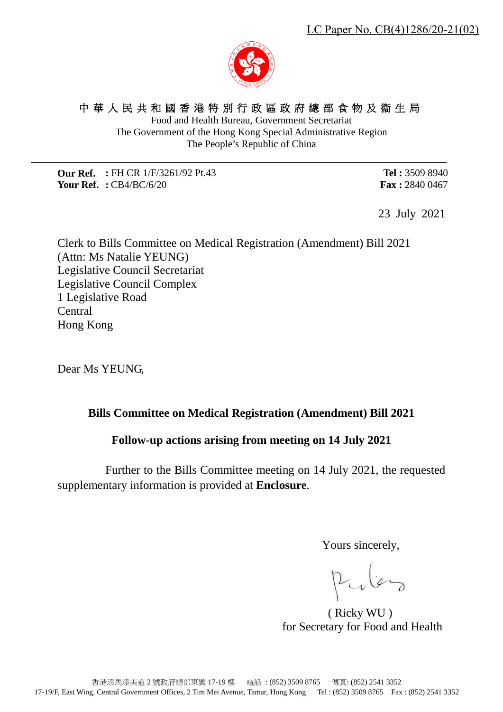# 中華人民共和國香港特別行政區政府總部食物及衞生局

Food and Health Bureau, Government Secretariat The Government of the Hong Kong Special Administrative Region The People's Republic of China

**Our Ref. :** FH CR 1/F/3261/92 Pt.43 **Your Ref. :** CB4/BC/6/20

**Tel :** 3509 8940 **Fax :** 2840 0467

23 July 2021

Clerk to Bills Committee on Medical Registration (Amendment) Bill 2021 (Attn: Ms Natalie YEUNG) Legislative Council Secretariat Legislative Council Complex 1 Legislative Road Central Hong Kong

Dear Ms YEUNG,

### **Bills Committee on Medical Registration (Amendment) Bill 2021**

### **Follow-up actions arising from meeting on 14 July 2021**

Further to the Bills Committee meeting on 14 July 2021, the requested supplementary information is provided at **Enclosure**.

Yours sincerely,

Pular

( Ricky WU )

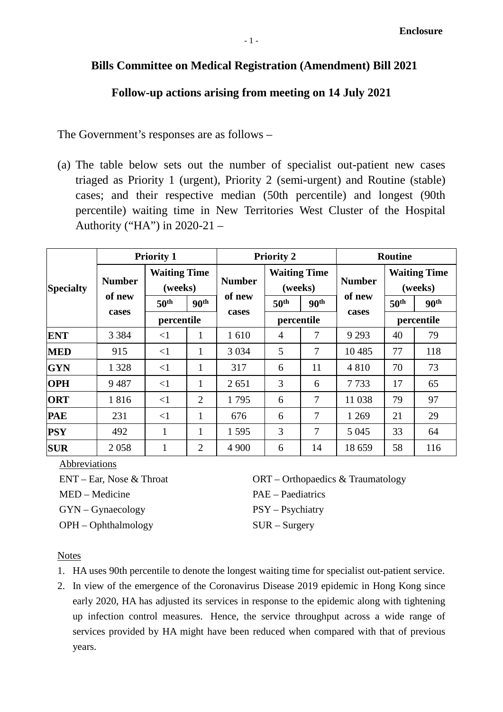## **Follow-up actions arising from meeting on 14 July 2021**

The Government's responses are as follows –

(a) The table below sets out the number of specialist out-patient new cases triaged as Priority 1 (urgent), Priority 2 (semi-urgent) and Routine (stable) cases; and their respective median (50th percentile) and longest (90th percentile) waiting time in New Territories West Cluster of the Hospital Authority ("HA") in 2020-21 –

|                  | <b>Priority 1</b>                |                                |                  | <b>Priority 2</b> |                                |                  | <b>Routine</b> |                                |                  |
|------------------|----------------------------------|--------------------------------|------------------|-------------------|--------------------------------|------------------|----------------|--------------------------------|------------------|
| <b>Specialty</b> | <b>Number</b><br>of new<br>cases | <b>Waiting Time</b><br>(weeks) |                  | <b>Number</b>     | <b>Waiting Time</b><br>(weeks) |                  | <b>Number</b>  | <b>Waiting Time</b><br>(weeks) |                  |
|                  |                                  | 50 <sup>th</sup>               | 90 <sup>th</sup> | of new            | 50 <sup>th</sup>               | 90 <sup>th</sup> | of new         | 50 <sup>th</sup>               | 90 <sup>th</sup> |
|                  |                                  | percentile                     |                  | cases             | percentile                     |                  | cases          | percentile                     |                  |
| <b>ENT</b>       | 3 3 8 4                          | $\leq$ 1                       | 1                | 1610              | $\overline{4}$                 | 7                | 9 2 9 3        | 40                             | 79               |
| <b>MED</b>       | 915                              | $\leq$ 1                       | 1                | 3 0 3 4           | 5                              | 7                | 10485          | 77                             | 118              |
| <b>GYN</b>       | 1 3 2 8                          | <1                             | 1                | 317               | 6                              | 11               | 4810           | 70                             | 73               |
| <b>OPH</b>       | 9487                             | <1                             | 1                | 2 6 5 1           | 3                              | 6                | 7733           | 17                             | 65               |
| <b>ORT</b>       | 1816                             | $\leq$ 1                       | $\overline{2}$   | 1795              | 6                              | 7                | 11 038         | 79                             | 97               |
| <b>PAE</b>       | 231                              | <1                             | $\mathbf{1}$     | 676               | 6                              | 7                | 1 2 6 9        | 21                             | 29               |
| <b>PSY</b>       | 492                              | 1                              | 1                | 1595              | 3                              | 7                | 5 0 4 5        | 33                             | 64               |
| <b>SUR</b>       | 2058                             | 1                              | $\overline{2}$   | 4 9 0 0           | 6                              | 14               | 18 659         | 58                             | 116              |

Abbreviations

ENT – Ear, Nose & Throat MED – Medicine GYN – Gynaecology OPH – Ophthalmology

ORT – Orthopaedics & Traumatology PAE – Paediatrics PSY – Psychiatry SUR – Surgery

### **Notes**

- 1. HA uses 90th percentile to denote the longest waiting time for specialist out-patient service.
- 2. In view of the emergence of the Coronavirus Disease 2019 epidemic in Hong Kong since early 2020, HA has adjusted its services in response to the epidemic along with tightening up infection control measures. Hence, the service throughput across a wide range of services provided by HA might have been reduced when compared with that of previous years.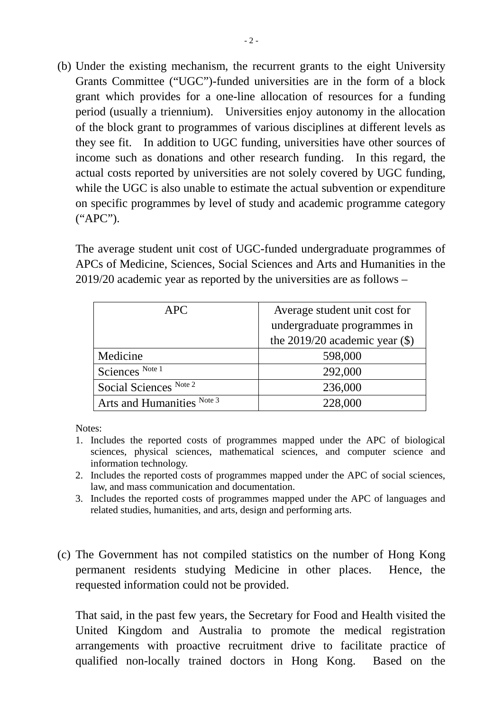(b) Under the existing mechanism, the recurrent grants to the eight University Grants Committee ("UGC")-funded universities are in the form of a block grant which provides for a one-line allocation of resources for a funding period (usually a triennium). Universities enjoy autonomy in the allocation of the block grant to programmes of various disciplines at different levels as they see fit. In addition to UGC funding, universities have other sources of income such as donations and other research funding. In this regard, the actual costs reported by universities are not solely covered by UGC funding, while the UGC is also unable to estimate the actual subvention or expenditure on specific programmes by level of study and academic programme category ("APC").

The average student unit cost of UGC-funded undergraduate programmes of APCs of Medicine, Sciences, Social Sciences and Arts and Humanities in the 2019/20 academic year as reported by the universities are as follows –

| <b>APC</b>                 | Average student unit cost for      |  |  |  |
|----------------------------|------------------------------------|--|--|--|
|                            | undergraduate programmes in        |  |  |  |
|                            | the $2019/20$ academic year $(\$)$ |  |  |  |
| Medicine                   | 598,000                            |  |  |  |
| Sciences Note 1            | 292,000                            |  |  |  |
| Social Sciences Note 2     | 236,000                            |  |  |  |
| Arts and Humanities Note 3 | 228,000                            |  |  |  |

Notes:

- 1. Includes the reported costs of programmes mapped under the APC of biological sciences, physical sciences, mathematical sciences, and computer science and information technology.
- 2. Includes the reported costs of programmes mapped under the APC of social sciences, law, and mass communication and documentation.
- 3. Includes the reported costs of programmes mapped under the APC of languages and related studies, humanities, and arts, design and performing arts.
- (c) The Government has not compiled statistics on the number of Hong Kong permanent residents studying Medicine in other places. Hence, the requested information could not be provided.

That said, in the past few years, the Secretary for Food and Health visited the United Kingdom and Australia to promote the medical registration arrangements with proactive recruitment drive to facilitate practice of qualified non-locally trained doctors in Hong Kong. Based on the